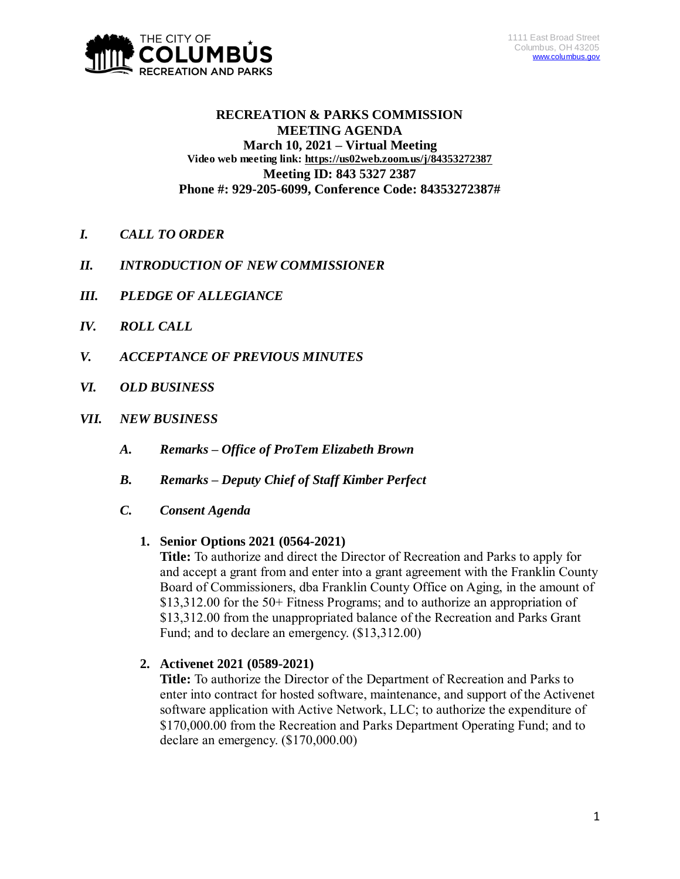

## **RECREATION & PARKS COMMISSION MEETING AGENDA March 10, 2021 – Virtual Meeting Video web meeting link: <https://us02web.zoom.us/j/84353272387> Meeting ID: 843 5327 2387 Phone #: 929-205-6099, Conference Code: 84353272387#**

- *I. CALL TO ORDER*
- *II. INTRODUCTION OF NEW COMMISSIONER*
- *III. PLEDGE OF ALLEGIANCE*
- *IV. ROLL CALL*
- *V. ACCEPTANCE OF PREVIOUS MINUTES*
- *VI. OLD BUSINESS*
- *VII. NEW BUSINESS*
	- *A. Remarks – Office of ProTem Elizabeth Brown*
	- *B. Remarks – Deputy Chief of Staff Kimber Perfect*
	- *C. Consent Agenda*

## **1. Senior Options 2021 (0564-2021)**

**Title:** To authorize and direct the Director of Recreation and Parks to apply for and accept a grant from and enter into a grant agreement with the Franklin County Board of Commissioners, dba Franklin County Office on Aging, in the amount of \$13,312.00 for the 50+ Fitness Programs; and to authorize an appropriation of \$13,312.00 from the unappropriated balance of the Recreation and Parks Grant Fund; and to declare an emergency. (\$13,312.00)

# **2. Activenet 2021 (0589-2021)**

**Title:** To authorize the Director of the Department of Recreation and Parks to enter into contract for hosted software, maintenance, and support of the Activenet software application with Active Network, LLC; to authorize the expenditure of \$170,000.00 from the Recreation and Parks Department Operating Fund; and to declare an emergency. (\$170,000.00)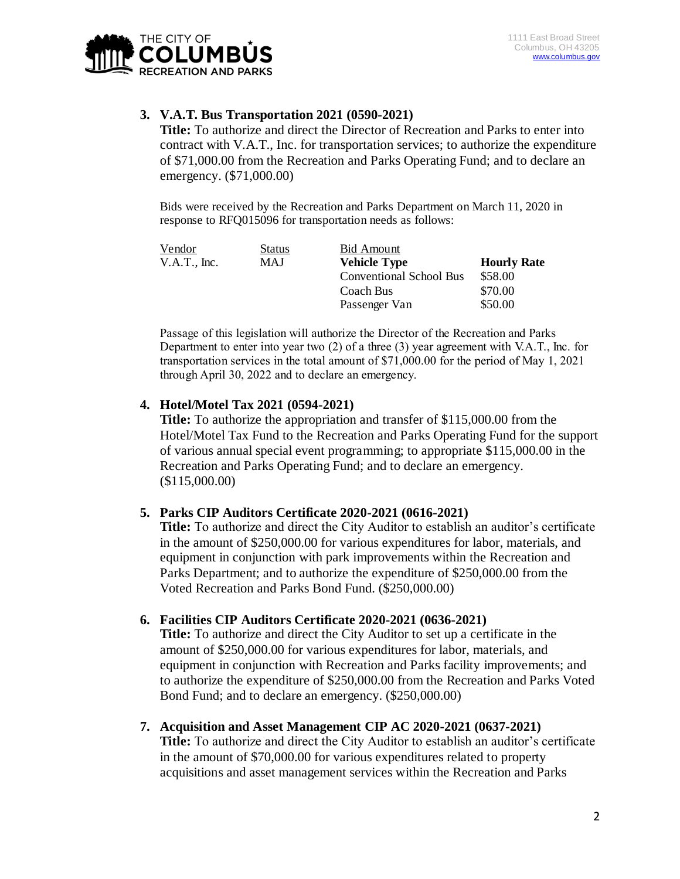

## **3. V.A.T. Bus Transportation 2021 (0590-2021)**

**Title:** To authorize and direct the Director of Recreation and Parks to enter into contract with V.A.T., Inc. for transportation services; to authorize the expenditure of \$71,000.00 from the Recreation and Parks Operating Fund; and to declare an emergency. (\$71,000.00)

Bids were received by the Recreation and Parks Department on March 11, 2020 in response to RFQ015096 for transportation needs as follows:

| Vendor       | Status     | Bid Amount              |                    |
|--------------|------------|-------------------------|--------------------|
| V.A.T., Inc. | <b>MAJ</b> | <b>Vehicle Type</b>     | <b>Hourly Rate</b> |
|              |            | Conventional School Bus | \$58.00            |
|              |            | Coach Bus               | \$70.00            |
|              |            | Passenger Van           | \$50.00            |

Passage of this legislation will authorize the Director of the Recreation and Parks Department to enter into year two (2) of a three (3) year agreement with V.A.T., Inc. for transportation services in the total amount of \$71,000.00 for the period of May 1, 2021 through April 30, 2022 and to declare an emergency.

## **4. Hotel/Motel Tax 2021 (0594-2021)**

**Title:** To authorize the appropriation and transfer of \$115,000.00 from the Hotel/Motel Tax Fund to the Recreation and Parks Operating Fund for the support of various annual special event programming; to appropriate \$115,000.00 in the Recreation and Parks Operating Fund; and to declare an emergency. (\$115,000.00)

## **5. Parks CIP Auditors Certificate 2020-2021 (0616-2021)**

**Title:** To authorize and direct the City Auditor to establish an auditor's certificate in the amount of \$250,000.00 for various expenditures for labor, materials, and equipment in conjunction with park improvements within the Recreation and Parks Department; and to authorize the expenditure of \$250,000.00 from the Voted Recreation and Parks Bond Fund. (\$250,000.00)

## **6. Facilities CIP Auditors Certificate 2020-2021 (0636-2021)**

**Title:** To authorize and direct the City Auditor to set up a certificate in the amount of \$250,000.00 for various expenditures for labor, materials, and equipment in conjunction with Recreation and Parks facility improvements; and to authorize the expenditure of \$250,000.00 from the Recreation and Parks Voted Bond Fund; and to declare an emergency. (\$250,000.00)

#### **7. Acquisition and Asset Management CIP AC 2020-2021 (0637-2021)**

**Title:** To authorize and direct the City Auditor to establish an auditor's certificate in the amount of \$70,000.00 for various expenditures related to property acquisitions and asset management services within the Recreation and Parks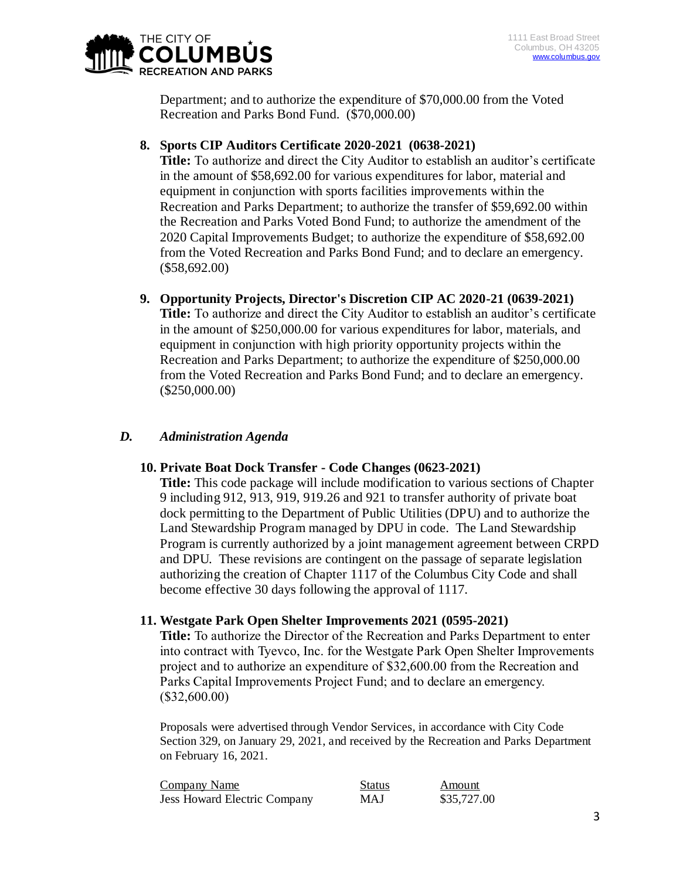

Department; and to authorize the expenditure of \$70,000.00 from the Voted Recreation and Parks Bond Fund. (\$70,000.00)

## **8. Sports CIP Auditors Certificate 2020-2021 (0638-2021)**

**Title:** To authorize and direct the City Auditor to establish an auditor's certificate in the amount of \$58,692.00 for various expenditures for labor, material and equipment in conjunction with sports facilities improvements within the Recreation and Parks Department; to authorize the transfer of \$59,692.00 within the Recreation and Parks Voted Bond Fund; to authorize the amendment of the 2020 Capital Improvements Budget; to authorize the expenditure of \$58,692.00 from the Voted Recreation and Parks Bond Fund; and to declare an emergency. (\$58,692.00)

**9. Opportunity Projects, Director's Discretion CIP AC 2020-21 (0639-2021) Title:** To authorize and direct the City Auditor to establish an auditor's certificate in the amount of \$250,000.00 for various expenditures for labor, materials, and equipment in conjunction with high priority opportunity projects within the Recreation and Parks Department; to authorize the expenditure of \$250,000.00 from the Voted Recreation and Parks Bond Fund; and to declare an emergency. (\$250,000.00)

# *D. Administration Agenda*

## **10. Private Boat Dock Transfer - Code Changes (0623-2021)**

**Title:** This code package will include modification to various sections of Chapter 9 including 912, 913, 919, 919.26 and 921 to transfer authority of private boat dock permitting to the Department of Public Utilities (DPU) and to authorize the Land Stewardship Program managed by DPU in code. The Land Stewardship Program is currently authorized by a joint management agreement between CRPD and DPU. These revisions are contingent on the passage of separate legislation authorizing the creation of Chapter 1117 of the Columbus City Code and shall become effective 30 days following the approval of 1117.

## **11. Westgate Park Open Shelter Improvements 2021 (0595-2021)**

**Title:** To authorize the Director of the Recreation and Parks Department to enter into contract with Tyevco, Inc. for the Westgate Park Open Shelter Improvements project and to authorize an expenditure of \$32,600.00 from the Recreation and Parks Capital Improvements Project Fund; and to declare an emergency. (\$32,600.00)

Proposals were advertised through Vendor Services, in accordance with City Code Section 329, on January 29, 2021, and received by the Recreation and Parks Department on February 16, 2021.

| Company Name                        | <b>Status</b> | Amount      |
|-------------------------------------|---------------|-------------|
| <b>Jess Howard Electric Company</b> | MAJ           | \$35,727.00 |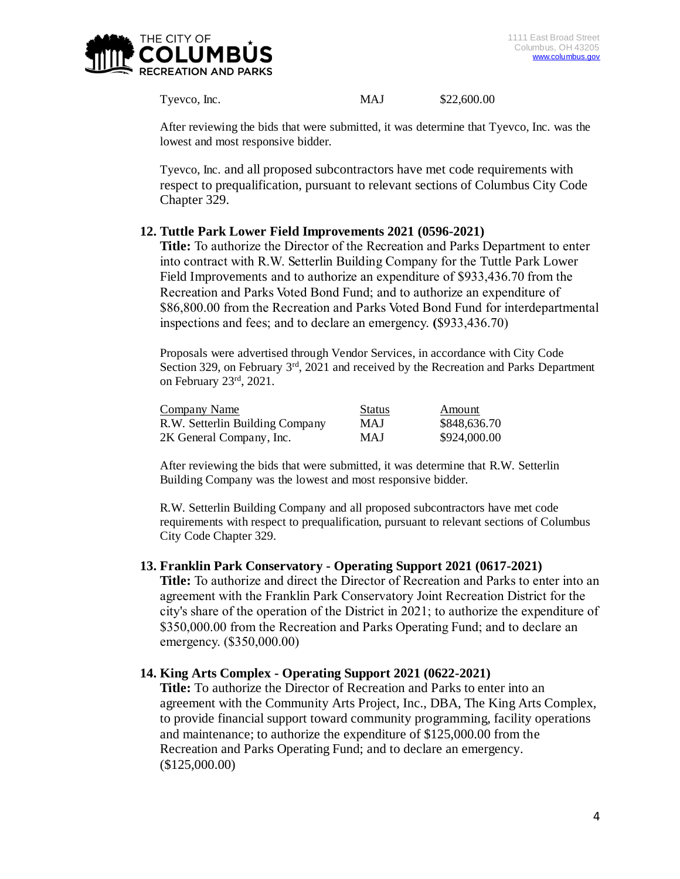

Tyevco, Inc. MAJ \$22,600.00

After reviewing the bids that were submitted, it was determine that Tyevco, Inc. was the lowest and most responsive bidder.

Tyevco, Inc. and all proposed subcontractors have met code requirements with respect to prequalification, pursuant to relevant sections of Columbus City Code Chapter 329.

## **12. Tuttle Park Lower Field Improvements 2021 (0596-2021)**

**Title:** To authorize the Director of the Recreation and Parks Department to enter into contract with R.W. Setterlin Building Company for the Tuttle Park Lower Field Improvements and to authorize an expenditure of \$933,436.70 from the Recreation and Parks Voted Bond Fund; and to authorize an expenditure of \$86,800.00 from the Recreation and Parks Voted Bond Fund for interdepartmental inspections and fees; and to declare an emergency. **(**\$933,436.70)

Proposals were advertised through Vendor Services, in accordance with City Code Section 329, on February 3<sup>rd</sup>, 2021 and received by the Recreation and Parks Department on February 23rd, 2021.

| <b>Company Name</b>             | <b>Status</b> | Amount       |
|---------------------------------|---------------|--------------|
| R.W. Setterlin Building Company | MAJ           | \$848,636.70 |
| 2K General Company, Inc.        | MAJ           | \$924,000.00 |

After reviewing the bids that were submitted, it was determine that R.W. Setterlin Building Company was the lowest and most responsive bidder.

R.W. Setterlin Building Company and all proposed subcontractors have met code requirements with respect to prequalification, pursuant to relevant sections of Columbus City Code Chapter 329.

#### **13. Franklin Park Conservatory - Operating Support 2021 (0617-2021)**

**Title:** To authorize and direct the Director of Recreation and Parks to enter into an agreement with the Franklin Park Conservatory Joint Recreation District for the city's share of the operation of the District in 2021; to authorize the expenditure of \$350,000.00 from the Recreation and Parks Operating Fund; and to declare an emergency. (\$350,000.00)

#### **14. King Arts Complex - Operating Support 2021 (0622-2021)**

**Title:** To authorize the Director of Recreation and Parks to enter into an agreement with the Community Arts Project, Inc., DBA, The King Arts Complex, to provide financial support toward community programming, facility operations and maintenance; to authorize the expenditure of \$125,000.00 from the Recreation and Parks Operating Fund; and to declare an emergency. (\$125,000.00)